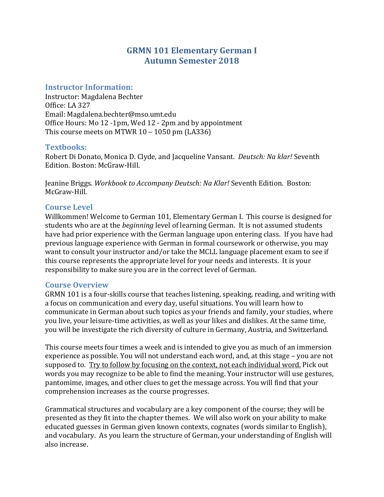# **GRMN 101 Elementary German I Autumn Semester 2018**

### **Instructor Information:**

Instructor: Magdalena Bechter Office: LA 327 Email: Magdalena.bechter@mso.umt.edu Office Hours: Mo 12 -1pm, Wed 12 - 2pm and by appointment This course meets on MTWR 10 – 1050 pm (LA336)

## **Textbooks:**

Robert Di Donato, Monica D. Clyde, and Jacqueline Vansant. *Deutsch: Na klar!* Seventh Edition. Boston: McGraw-Hill.

Jeanine Briggs. *Workbook to Accompany Deutsch: Na Klar!* Seventh Edition. Boston: McGraw-Hill.

## **Course Level**

Willkommen! Welcome to German 101, Elementary German I. This course is designed for students who are at the *beginning* level of learning German. It is not assumed students have had prior experience with the German language upon entering class. If you have had previous language experience with German in formal coursework or otherwise, you may want to consult your instructor and/or take the MCLL language placement exam to see if this course represents the appropriate level for your needs and interests. It is your responsibility to make sure you are in the correct level of German.

### **Course Overview**

GRMN 101 is a four-skills course that teaches listening, speaking, reading, and writing with a focus on communication and every day, useful situations. You will learn how to communicate in German about such topics as your friends and family, your studies, where you live, your leisure-time activities, as well as your likes and dislikes. At the same time, you will be investigate the rich diversity of culture in Germany, Austria, and Switzerland.

This course meets four times a week and is intended to give you as much of an immersion experience as possible. You will not understand each word, and, at this stage – you are not supposed to. Try to follow by focusing on the context, not each individual word. Pick out words you may recognize to be able to find the meaning. Your instructor will use gestures, pantomime, images, and other clues to get the message across. You will find that your comprehension increases as the course progresses.

Grammatical structures and vocabulary are a key component of the course; they will be presented as they fit into the chapter themes. We will also work on your ability to make educated guesses in German given known contexts, cognates (words similar to English), and vocabulary. As you learn the structure of German, your understanding of English will also increase.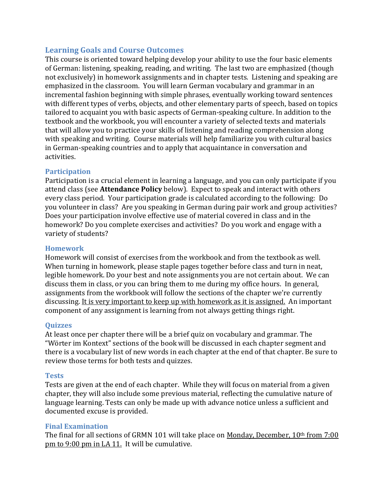## **Learning Goals and Course Outcomes**

This course is oriented toward helping develop your ability to use the four basic elements of German: listening, speaking, reading, and writing. The last two are emphasized (though not exclusively) in homework assignments and in chapter tests. Listening and speaking are emphasized in the classroom. You will learn German vocabulary and grammar in an incremental fashion beginning with simple phrases, eventually working toward sentences with different types of verbs, objects, and other elementary parts of speech, based on topics tailored to acquaint you with basic aspects of German-speaking culture. In addition to the textbook and the workbook, you will encounter a variety of selected texts and materials that will allow you to practice your skills of listening and reading comprehension along with speaking and writing. Course materials will help familiarize you with cultural basics in German-speaking countries and to apply that acquaintance in conversation and activities.

### **Participation**

Participation is a crucial element in learning a language, and you can only participate if you attend class (see **Attendance Policy** below). Expect to speak and interact with others every class period. Your participation grade is calculated according to the following: Do you volunteer in class? Are you speaking in German during pair work and group activities? Does your participation involve effective use of material covered in class and in the homework? Do you complete exercises and activities? Do you work and engage with a variety of students?

#### **Homework**

Homework will consist of exercises from the workbook and from the textbook as well. When turning in homework, please staple pages together before class and turn in neat, legible homework. Do your best and note assignments you are not certain about. We can discuss them in class, or you can bring them to me during my office hours. In general, assignments from the workbook will follow the sections of the chapter we're currently discussing. It is very important to keep up with homework as it is assigned. An important component of any assignment is learning from not always getting things right.

#### **Quizzes**

At least once per chapter there will be a brief quiz on vocabulary and grammar. The "Wörter im Kontext" sections of the book will be discussed in each chapter segment and there is a vocabulary list of new words in each chapter at the end of that chapter. Be sure to review those terms for both tests and quizzes.

#### **Tests**

Tests are given at the end of each chapter. While they will focus on material from a given chapter, they will also include some previous material, reflecting the cumulative nature of language learning. Tests can only be made up with advance notice unless a sufficient and documented excuse is provided.

### **Final Examination**

The final for all sections of GRMN 101 will take place on Monday, December, 10<sup>th</sup> from 7:00 pm to 9:00 pm in LA 11. It will be cumulative.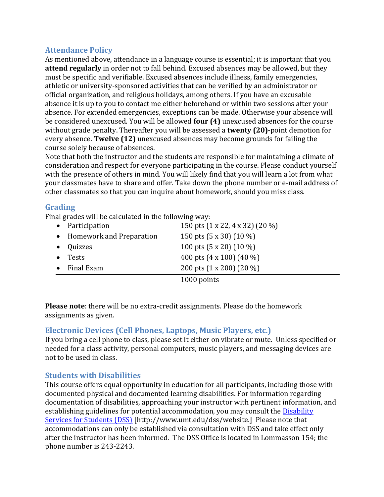# **Attendance Policy**

As mentioned above, attendance in a language course is essential; it is important that you **attend regularly** in order not to fall behind. Excused absences may be allowed, but they must be specific and verifiable. Excused absences include illness, family emergencies, athletic or university-sponsored activities that can be verified by an administrator or official organization, and religious holidays, among others. If you have an excusable absence it is up to you to contact me either beforehand or within two sessions after your absence. For extended emergencies, exceptions can be made. Otherwise your absence will be considered unexcused. You will be allowed **four (4)** unexcused absences for the course without grade penalty. Thereafter you will be assessed a **twenty (20)**-point demotion for every absence. **Twelve (12)** unexcused absences may become grounds for failing the course solely because of absences.

Note that both the instructor and the students are responsible for maintaining a climate of consideration and respect for everyone participating in the course. Please conduct yourself with the presence of others in mind. You will likely find that you will learn a lot from what your classmates have to share and offer. Take down the phone number or e-mail address of other classmates so that you can inquire about homework, should you miss class.

## **Grading**

Final grades will be calculated in the following way:

|           | • Participation            | 150 pts (1 x 22, 4 x 32) (20 %)   |
|-----------|----------------------------|-----------------------------------|
|           | • Homework and Preparation | 150 pts $(5 \times 30)$ $(10 \%)$ |
|           | • Quizzes                  | 100 pts $(5 \times 20)$ $(10 \%)$ |
|           | $\bullet$ Tests            | 400 pts $(4 \times 100)$ $(40\%$  |
| $\bullet$ | Final Exam                 | 200 pts (1 x 200) (20 %)          |
|           |                            | 1000 points                       |

**Please note**: there will be no extra-credit assignments. Please do the homework assignments as given.

# **Electronic Devices (Cell Phones, Laptops, Music Players, etc.)**

If you bring a cell phone to class, please set it either on vibrate or mute. Unless specified or needed for a class activity, personal computers, music players, and messaging devices are not to be used in class.

# **Students with Disabilities**

This course offers equal opportunity in education for all participants, including those with documented physical and documented learning disabilities. For information regarding documentation of disabilities, approaching your instructor with pertinent information, and establishing guidelines for potential accommodation, you may consult the [Disability](http://life.umt.edu/dss)  [Services for Students \(DSS\)](http://life.umt.edu/dss) [http://www.umt.edu/dss/website.] Please note that accommodations can only be established via consultation with DSS and take effect only after the instructor has been informed. The DSS Office is located in Lommasson 154; the phone number is 243-2243.